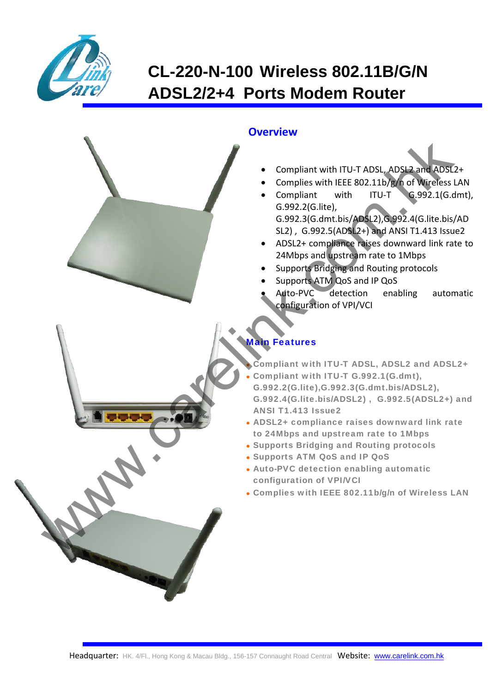

# **CL-220-N-100 Wireless 802.11B/G/N ADSL2/2+4 Ports Modem Router**

### **Overview**

- Compliant with ITU‐T ADSL, ADSL2 and ADSL2+
- Complies with IEEE 802.11b/g/n of Wireless LAN
- Compliant with ITU‐T G.992.1(G.dmt), G.992.2(G.lite), G.992.3(G.dmt.bis/ADSL2),G.992.4(G.lite.bis/AD SL2) , G.992.5(ADSL2+) and ANSI T1.413 Issue2
- ADSL2+ compliance raises downward link rate to 24Mbps and upstream rate to 1Mbps
- Supports Bridging and Routing protocols
- Supports ATM QoS and IP QoS
- Auto‐PVC detection enabling automatic configuration of VPI/VCI

## Main Features

Compliant with ITU-T ADSL, ADSL2 and ADSL2+

- Compliant with ITU-T G.992.1(G.dmt), G.992.2(G.lite),G.992.3(G.dmt.bis/ADSL2), G.992.4(G.lite.bis/ADSL2) , G.992.5(ADSL2+) and ANSI T1.413 Issue2 Complisher With ITU-T ADSL, ADSL and ADSL<br>
Complisher With ITU-T ADSL, ADSL and ADSL<br>
Complisher With ITU-T<br>
Complisher With ITU-T<br>
G992.1(G, G992.3(G, Me)<br>
SU2), G992.5(ADSQ, G992.4(G, IIIc blsg<br>
SU2), G992.5(ADSQ, G992.
	- ADSL2+ compliance raises downward link rate to 24Mbps and upstream rate to 1Mbps
	- Supports Bridging and Routing protocols
	- Supports ATM QoS and IP QoS
	- Auto-PVC detection enabling automatic configuration of VPI/VCI
	- Complies with IEEE 802.11b/g/n of Wireless LAN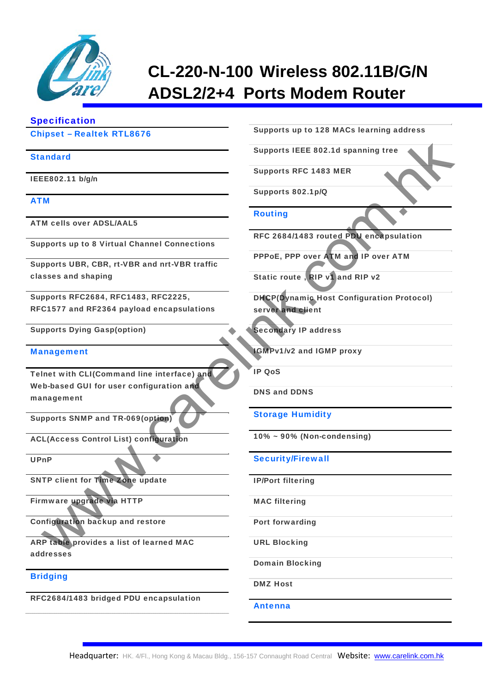

# **CL-220-N-100 Wireless 802.11B/G/N ADSL2/2+4 Ports Modem Router**

### Specification

### Chipset – Realtek RTL8676

#### **Standard**

IEEE802.11 b/g/n

#### ATM

ATM cells over ADSL/AAL5

Supports up to 8 Virtual Channel Connections

Supports UBR, CBR, rt-VBR and nrt-VBR traffic classes and shaping

Supports RFC2684, RFC1483, RFC2225, RFC1577 and RF2364 payload encapsulations

Supports Dying Gasp(option)

#### **Management**

Telnet with CLI(Command line interface) and Web-based GUI for user configuration and management Web The Control Historica Control History Control History and The Control History ADM and Deposits REC 1483 MER<br>
Moreover ADM ALS Recorded ALS Recorded Connections<br>
Proposition (Process Control History ADM and Process)<br>
Su

Supports SNMP and TR-069(option)

ACL(Access Control List) configuration

UPnP

SNTP client for Time Zone update

Firmware upgrade via HTTP

Configuration backup and restore

ARP table provides a list of learned MAC addresses

#### Bridging

RFC2684/1483 bridged PDU encapsulation

Supports up to 128 MACs learning address

Supports IEEE 802.1d spanning tree

Supports RFC 1483 MER

Supports 802.1p/Q

#### Routing

RFC 2684/1483 routed PDU encapsulation

PPPoE, PPP over ATM and IP over ATM

Static route , RIP v1 and RIP v2

DHCP(Dynamic Host Configuration Protocol) server and client

Secondary IP address

IGMPv1/v2 and IGMP proxy

IP QoS

DNS and DDNS

Storage Humidity

10% ~ 90% (Non-condensing)

Security/Firewall

IP/Port filtering

MAC filtering

Port forwarding

URL Blocking

Domain Blocking

DMZ Host

Antenna